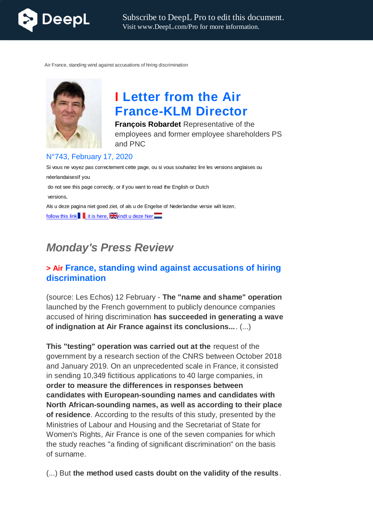

Air France, standing wind against accusations of hiring discrimination



# **I Letter from the Air France-KLM Director**

**François Robardet** Representative of the employees and former employee shareholders PS and PNC

#### N°743, February 17, 2020

Si vous ne voyez pas correctement cette page, ou si vous souhaitez lire les versions anglaises ou néerlandaisesIf you do not see this page correctly, or if you want to read the English or Dutch versions, Als u deze pagina niet goed ziet, of als u de Engelse of Nederlandse versie wilt lezen, follow this link  $\blacksquare$  it is here,  $\geq$  and tu deze hier

## *Monday's Press Review*

## **> Air France, standing wind against accusations of hiring discrimination**

(source: Les Echos) 12 February - **The "name and shame" operation** launched by the French government to publicly denounce companies accused of hiring discrimination **has succeeded in generating a wave of indignation at Air France against its conclusions...**. (...)

**This "testing" operation was carried out at the** request of the government by a research section of the CNRS between October 2018 and January 2019. On an unprecedented scale in France, it consisted in sending 10,349 fictitious applications to 40 large companies, in **order to measure the differences in responses between candidates with European-sounding names and candidates with North African-sounding names, as well as according to their place of residence**. According to the results of this study, presented by the Ministries of Labour and Housing and the Secretariat of State for Women's Rights, Air France is one of the seven companies for which the study reaches "a finding of significant discrimination" on the basis of surname.

(...) But **the method used casts doubt on the validity of the results**.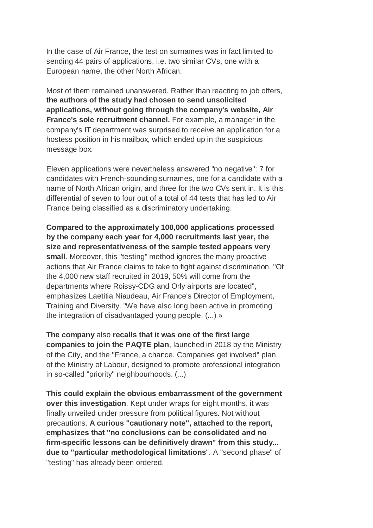In the case of Air France, the test on surnames was in fact limited to sending 44 pairs of applications, i.e. two similar CVs, one with a European name, the other North African.

Most of them remained unanswered. Rather than reacting to job offers, **the authors of the study had chosen to send unsolicited applications, without going through the company's website, Air France's sole recruitment channel.** For example, a manager in the company's IT department was surprised to receive an application for a hostess position in his mailbox, which ended up in the suspicious message box.

Eleven applications were nevertheless answered "no negative": 7 for candidates with French-sounding surnames, one for a candidate with a name of North African origin, and three for the two CVs sent in. It is this differential of seven to four out of a total of 44 tests that has led to Air France being classified as a discriminatory undertaking.

**Compared to the approximately 100,000 applications processed by the company each year for 4,000 recruitments last year, the size and representativeness of the sample tested appears very small**. Moreover, this "testing" method ignores the many proactive actions that Air France claims to take to fight against discrimination. "Of the 4,000 new staff recruited in 2019, 50% will come from the departments where Roissy-CDG and Orly airports are located", emphasizes Laetitia Niaudeau, Air France's Director of Employment, Training and Diversity. "We have also long been active in promoting the integration of disadvantaged young people. (...) »

**The company** also **recalls that it was one of the first large companies to join the PAQTE plan**, launched in 2018 by the Ministry of the City, and the "France, a chance. Companies get involved" plan, of the Ministry of Labour, designed to promote professional integration in so-called "priority" neighbourhoods. (...)

**This could explain the obvious embarrassment of the government over this investigation**. Kept under wraps for eight months, it was finally unveiled under pressure from political figures. Not without precautions. **A curious "cautionary note", attached to the report, emphasizes that "no conclusions can be consolidated and no firm-specific lessons can be definitively drawn" from this study... due to "particular methodological limitations**". A "second phase" of "testing" has already been ordered.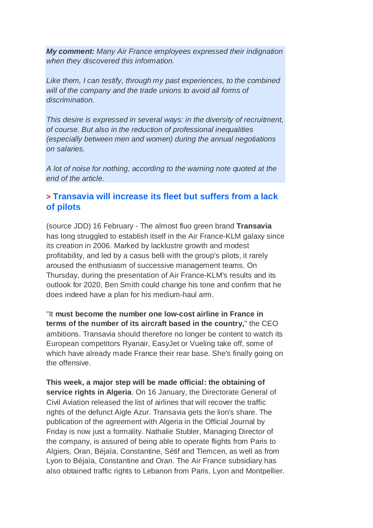*My comment: Many Air France employees expressed their indignation when they discovered this information.*

*Like them, I can testify, through my past experiences, to the combined will of the company and the trade unions to avoid all forms of discrimination.*

*This desire is expressed in several ways: in the diversity of recruitment, of course. But also in the reduction of professional inequalities (especially between men and women) during the annual negotiations on salaries.*

*A lot of noise for nothing, according to the warning note quoted at the end of the article.*

## **> Transavia will increase its fleet but suffers from a lack of pilots**

(source JDD) 16 February - The almost fluo green brand **Transavia** has long struggled to establish itself in the Air France-KLM galaxy since its creation in 2006. Marked by lacklustre growth and modest profitability, and led by a casus belli with the group's pilots, it rarely aroused the enthusiasm of successive management teams. On Thursday, during the presentation of Air France-KLM's results and its outlook for 2020, Ben Smith could change his tone and confirm that he does indeed have a plan for his medium-haul arm.

"It **must become the number one low-cost airline in France in terms of the number of its aircraft based in the country,**" the CEO ambitions. Transavia should therefore no longer be content to watch its European competitors Ryanair, EasyJet or Vueling take off, some of which have already made France their rear base. She's finally going on the offensive.

**This week, a major step will be made official: the obtaining of service rights in Algeria**. On 16 January, the Directorate General of Civil Aviation released the list of airlines that will recover the traffic rights of the defunct Aigle Azur. Transavia gets the lion's share. The publication of the agreement with Algeria in the Official Journal by Friday is now just a formality. Nathalie Stubler, Managing Director of the company, is assured of being able to operate flights from Paris to Algiers, Oran, Béjaïa, Constantine, Sétif and Tlemcen, as well as from Lyon to Béjaïa, Constantine and Oran. The Air France subsidiary has also obtained traffic rights to Lebanon from Paris, Lyon and Montpellier.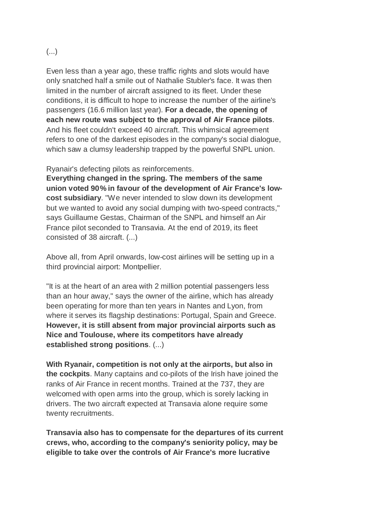#### (...)

Even less than a year ago, these traffic rights and slots would have only snatched half a smile out of Nathalie Stubler's face. It was then limited in the number of aircraft assigned to its fleet. Under these conditions, it is difficult to hope to increase the number of the airline's passengers (16.6 million last year). **For a decade, the opening of each new route was subject to the approval of Air France pilots**. And his fleet couldn't exceed 40 aircraft. This whimsical agreement refers to one of the darkest episodes in the company's social dialogue, which saw a clumsy leadership trapped by the powerful SNPL union.

Ryanair's defecting pilots as reinforcements.

**Everything changed in the spring. The members of the same union voted 90% in favour of the development of Air France's lowcost subsidiary**. "We never intended to slow down its development but we wanted to avoid any social dumping with two-speed contracts," says Guillaume Gestas, Chairman of the SNPL and himself an Air France pilot seconded to Transavia. At the end of 2019, its fleet consisted of 38 aircraft. (...)

Above all, from April onwards, low-cost airlines will be setting up in a third provincial airport: Montpellier.

"It is at the heart of an area with 2 million potential passengers less than an hour away," says the owner of the airline, which has already been operating for more than ten years in Nantes and Lyon, from where it serves its flagship destinations: Portugal, Spain and Greece. **However, it is still absent from major provincial airports such as Nice and Toulouse, where its competitors have already established strong positions**. (...)

**With Ryanair, competition is not only at the airports, but also in the cockpits**. Many captains and co-pilots of the Irish have joined the ranks of Air France in recent months. Trained at the 737, they are welcomed with open arms into the group, which is sorely lacking in drivers. The two aircraft expected at Transavia alone require some twenty recruitments.

**Transavia also has to compensate for the departures of its current crews, who, according to the company's seniority policy, may be eligible to take over the controls of Air France's more lucrative**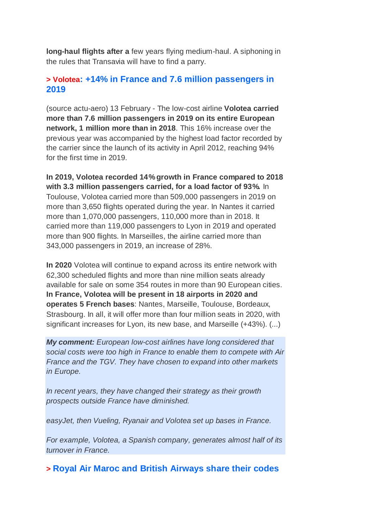**long-haul flights after a** few years flying medium-haul. A siphoning in the rules that Transavia will have to find a parry.

## **> Volotea: +14% in France and 7.6 million passengers in 2019**

(source actu-aero) 13 February - The low-cost airline **Volotea carried more than 7.6 million passengers in 2019 on its entire European network, 1 million more than in 2018**. This 16% increase over the previous year was accompanied by the highest load factor recorded by the carrier since the launch of its activity in April 2012, reaching 94% for the first time in 2019.

**In 2019, Volotea recorded 14% growth in France compared to 2018 with 3.3 million passengers carried, for a load factor of 93%.** In Toulouse, Volotea carried more than 509,000 passengers in 2019 on more than 3,650 flights operated during the year. In Nantes it carried more than 1,070,000 passengers, 110,000 more than in 2018. It carried more than 119,000 passengers to Lyon in 2019 and operated more than 900 flights. In Marseilles, the airline carried more than 343,000 passengers in 2019, an increase of 28%.

**In 2020** Volotea will continue to expand across its entire network with 62,300 scheduled flights and more than nine million seats already available for sale on some 354 routes in more than 90 European cities. **In France, Volotea will be present in 18 airports in 2020 and operates 5 French bases**: Nantes, Marseille, Toulouse, Bordeaux, Strasbourg. In all, it will offer more than four million seats in 2020, with significant increases for Lyon, its new base, and Marseille (+43%). (...)

*My comment: European low-cost airlines have long considered that social costs were too high in France to enable them to compete with Air France and the TGV. They have chosen to expand into other markets in Europe.*

*In recent years, they have changed their strategy as their growth prospects outside France have diminished.*

*easyJet, then Vueling, Ryanair and Volotea set up bases in France.*

*For example, Volotea, a Spanish company, generates almost half of its turnover in France.*

**> Royal Air Maroc and British Airways share their codes**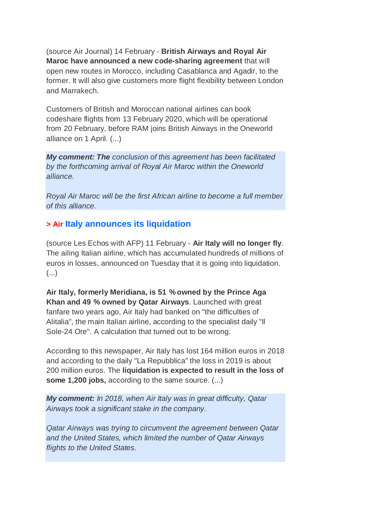(source Air Journal) 14 February - **British Airways and Royal Air Maroc have announced a new code-sharing agreement** that will open new routes in Morocco, including Casablanca and Agadir, to the former. It will also give customers more flight flexibility between London and Marrakech.

Customers of British and Moroccan national airlines can book codeshare flights from 13 February 2020, which will be operational from 20 February, before RAM joins British Airways in the Oneworld alliance on 1 April. (...)

*My comment: The conclusion of this agreement has been facilitated by the forthcoming arrival of Royal Air Maroc within the Oneworld alliance.*

*Royal Air Maroc will be the first African airline to become a full member of this alliance.*

## **> Air Italy announces its liquidation**

(source Les Echos with AFP) 11 February - **Air Italy will no longer fly**. The ailing Italian airline, which has accumulated hundreds of millions of euros in losses, announced on Tuesday that it is going into liquidation. (...)

**Air Italy, formerly Meridiana, is 51 % owned by the Prince Aga Khan and 49 % owned by Qatar Airways**. Launched with great fanfare two years ago, Air Italy had banked on "the difficulties of Alitalia", the main Italian airline, according to the specialist daily "Il Sole-24 Ore". A calculation that turned out to be wrong.

According to this newspaper, Air Italy has lost 164 million euros in 2018 and according to the daily "La Repubblica" the loss in 2019 is about 200 million euros. The **liquidation is expected to result in the loss of some 1,200 jobs,** according to the same source. (...)

*My comment: In 2018, when Air Italy was in great difficulty, Qatar Airways took a significant stake in the company.*

*Qatar Airways was trying to circumvent the agreement between Qatar and the United States, which limited the number of Qatar Airways flights to the United States.*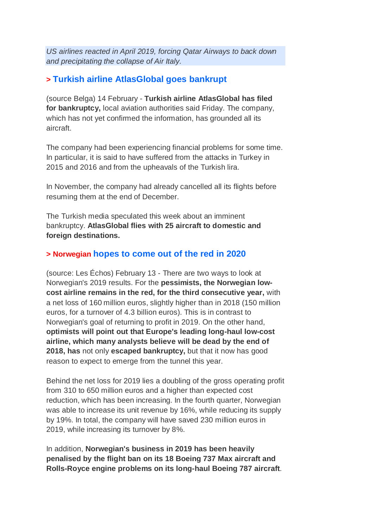*US airlines reacted in April 2019, forcing Qatar Airways to back down and precipitating the collapse of Air Italy.*

## **> Turkish airline AtlasGlobal goes bankrupt**

(source Belga) 14 February - **Turkish airline AtlasGlobal has filed for bankruptcy,** local aviation authorities said Friday. The company, which has not yet confirmed the information, has grounded all its aircraft.

The company had been experiencing financial problems for some time. In particular, it is said to have suffered from the attacks in Turkey in 2015 and 2016 and from the upheavals of the Turkish lira.

In November, the company had already cancelled all its flights before resuming them at the end of December.

The Turkish media speculated this week about an imminent bankruptcy. **AtlasGlobal flies with 25 aircraft to domestic and foreign destinations.**

## **> Norwegian hopes to come out of the red in 2020**

(source: Les Échos) February 13 - There are two ways to look at Norwegian's 2019 results. For the **pessimists, the Norwegian lowcost airline remains in the red, for the third consecutive year,** with a net loss of 160 million euros, slightly higher than in 2018 (150 million euros, for a turnover of 4.3 billion euros). This is in contrast to Norwegian's goal of returning to profit in 2019. On the other hand, **optimists will point out that Europe's leading long-haul low-cost airline, which many analysts believe will be dead by the end of 2018, has** not only **escaped bankruptcy,** but that it now has good reason to expect to emerge from the tunnel this year.

Behind the net loss for 2019 lies a doubling of the gross operating profit from 310 to 650 million euros and a higher than expected cost reduction, which has been increasing. In the fourth quarter, Norwegian was able to increase its unit revenue by 16%, while reducing its supply by 19%. In total, the company will have saved 230 million euros in 2019, while increasing its turnover by 8%.

In addition, **Norwegian's business in 2019 has been heavily penalised by the flight ban on its 18 Boeing 737 Max aircraft and Rolls-Royce engine problems on its long-haul Boeing 787 aircraft**.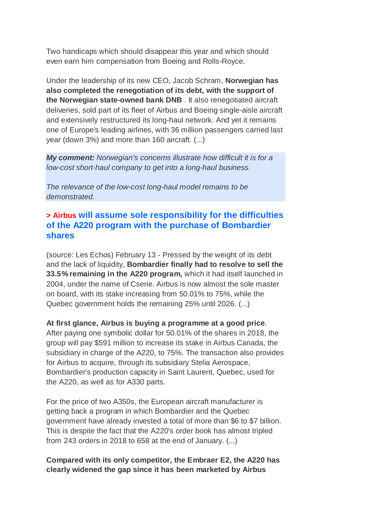Two handicaps which should disappear this year and which should even earn him compensation from Boeing and Rolls-Royce.

Under the leadership of its new CEO, Jacob Schram, **Norwegian has also completed the renegotiation of its debt, with the support of the Norwegian state-owned bank DNB** . It also renegotiated aircraft deliveries, sold part of its fleet of Airbus and Boeing single-aisle aircraft and extensively restructured its long-haul network. And yet it remains one of Europe's leading airlines, with 36 million passengers carried last year (down 3%) and more than 160 aircraft. (...)

*My comment: Norwegian's concerns illustrate how difficult it is for a low-cost short-haul company to get into a long-haul business.*

*The relevance of the low-cost long-haul model remains to be demonstrated.*

## **> Airbus will assume sole responsibility for the difficulties of the A220 program with the purchase of Bombardier shares**

(source: Les Echos) February 13 - Pressed by the weight of its debt and the lack of liquidity, **Bombardier finally had to resolve to sell the 33.5% remaining in the A220 program,** which it had itself launched in 2004, under the name of Cserie. Airbus is now almost the sole master on board, with its stake increasing from 50.01% to 75%, while the Quebec government holds the remaining 25% until 2026. (...)

#### **At first glance, Airbus is buying a programme at a good price**.

After paying one symbolic dollar for 50.01% of the shares in 2018, the group will pay \$591 million to increase its stake in Airbus Canada, the subsidiary in charge of the A220, to 75%. The transaction also provides for Airbus to acquire, through its subsidiary Stelia Aerospace, Bombardier's production capacity in Saint Laurent, Quebec, used for the A220, as well as for A330 parts.

For the price of two A350s, the European aircraft manufacturer is getting back a program in which Bombardier and the Quebec government have already invested a total of more than \$6 to \$7 billion. This is despite the fact that the A220's order book has almost tripled from 243 orders in 2018 to 658 at the end of January. (...)

#### **Compared with its only competitor, the Embraer E2, the A220 has clearly widened the gap since it has been marketed by Airbus**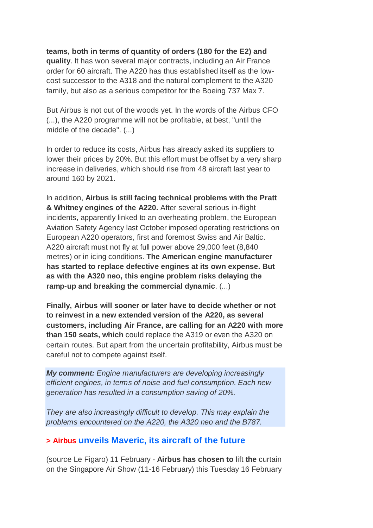**teams, both in terms of quantity of orders (180 for the E2) and quality**. It has won several major contracts, including an Air France order for 60 aircraft. The A220 has thus established itself as the lowcost successor to the A318 and the natural complement to the A320 family, but also as a serious competitor for the Boeing 737 Max 7.

But Airbus is not out of the woods yet. In the words of the Airbus CFO (...), the A220 programme will not be profitable, at best, "until the middle of the decade". (...)

In order to reduce its costs, Airbus has already asked its suppliers to lower their prices by 20%. But this effort must be offset by a very sharp increase in deliveries, which should rise from 48 aircraft last year to around 160 by 2021.

In addition, **Airbus is still facing technical problems with the Pratt & Whitney engines of the A220.** After several serious in-flight incidents, apparently linked to an overheating problem, the European Aviation Safety Agency last October imposed operating restrictions on European A220 operators, first and foremost Swiss and Air Baltic. A220 aircraft must not fly at full power above 29,000 feet (8,840 metres) or in icing conditions. **The American engine manufacturer has started to replace defective engines at its own expense. But as with the A320 neo, this engine problem risks delaying the ramp-up and breaking the commercial dynamic**. (...)

**Finally, Airbus will sooner or later have to decide whether or not to reinvest in a new extended version of the A220, as several customers, including Air France, are calling for an A220 with more than 150 seats, which** could replace the A319 or even the A320 on certain routes. But apart from the uncertain profitability, Airbus must be careful not to compete against itself.

*My comment: Engine manufacturers are developing increasingly efficient engines, in terms of noise and fuel consumption. Each new generation has resulted in a consumption saving of 20%.*

*They are also increasingly difficult to develop. This may explain the problems encountered on the A220, the A320 neo and the B787.*

#### **> Airbus unveils Maveric, its aircraft of the future**

(source Le Figaro) 11 February - **Airbus has chosen to** lift **the** curtain on the Singapore Air Show (11-16 February) this Tuesday 16 February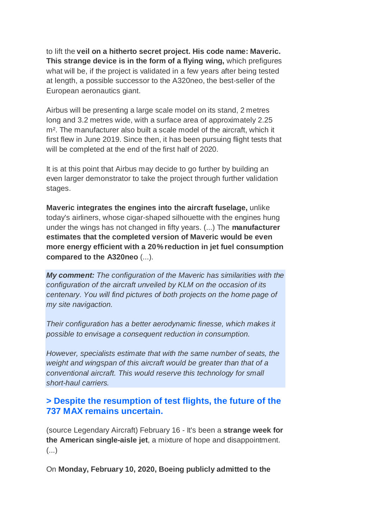to lift the **veil on a hitherto secret project. His code name: Maveric. This strange device is in the form of a flying wing,** which prefigures what will be, if the project is validated in a few years after being tested at length, a possible successor to the A320neo, the best-seller of the European aeronautics giant.

Airbus will be presenting a large scale model on its stand, 2 metres long and 3.2 metres wide, with a surface area of approximately 2.25 m². The manufacturer also built a scale model of the aircraft, which it first flew in June 2019. Since then, it has been pursuing flight tests that will be completed at the end of the first half of 2020.

It is at this point that Airbus may decide to go further by building an even larger demonstrator to take the project through further validation stages.

**Maveric integrates the engines into the aircraft fuselage,** unlike today's airliners, whose cigar-shaped silhouette with the engines hung under the wings has not changed in fifty years. (...) The **manufacturer estimates that the completed version of Maveric would be even more energy efficient with a 20% reduction in jet fuel consumption compared to the A320neo** (...).

*My comment: The configuration of the Maveric has similarities with the configuration of the aircraft unveiled by KLM on the occasion of its centenary. You will find pictures of both projects on the home page of my site navigaction.*

*Their configuration has a better aerodynamic finesse, which makes it possible to envisage a consequent reduction in consumption.*

*However, specialists estimate that with the same number of seats, the weight and wingspan of this aircraft would be greater than that of a conventional aircraft. This would reserve this technology for small short-haul carriers.*

## **> Despite the resumption of test flights, the future of the 737 MAX remains uncertain.**

(source Legendary Aircraft) February 16 - It's been a **strange week for the American single-aisle jet**, a mixture of hope and disappointment. (...)

On **Monday, February 10, 2020, Boeing publicly admitted to the**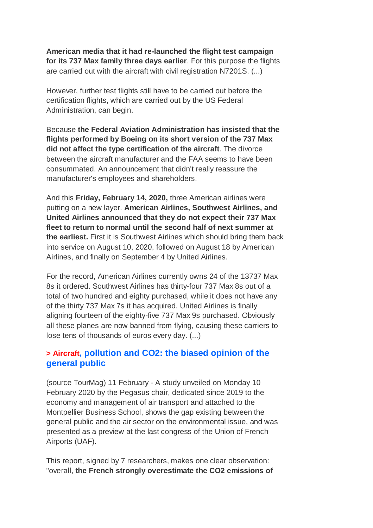**American media that it had re-launched the flight test campaign for its 737 Max family three days earlier**. For this purpose the flights are carried out with the aircraft with civil registration N7201S. (...)

However, further test flights still have to be carried out before the certification flights, which are carried out by the US Federal Administration, can begin.

Because **the Federal Aviation Administration has insisted that the flights performed by Boeing on its short version of the 737 Max did not affect the type certification of the aircraft**. The divorce between the aircraft manufacturer and the FAA seems to have been consummated. An announcement that didn't really reassure the manufacturer's employees and shareholders.

And this **Friday, February 14, 2020,** three American airlines were putting on a new layer. **American Airlines, Southwest Airlines, and United Airlines announced that they do not expect their 737 Max fleet to return to normal until the second half of next summer at the earliest.** First it is Southwest Airlines which should bring them back into service on August 10, 2020, followed on August 18 by American Airlines, and finally on September 4 by United Airlines.

For the record, American Airlines currently owns 24 of the 13737 Max 8s it ordered. Southwest Airlines has thirty-four 737 Max 8s out of a total of two hundred and eighty purchased, while it does not have any of the thirty 737 Max 7s it has acquired. United Airlines is finally aligning fourteen of the eighty-five 737 Max 9s purchased. Obviously all these planes are now banned from flying, causing these carriers to lose tens of thousands of euros every day. (...)

## **> Aircraft, pollution and CO2: the biased opinion of the general public**

(source TourMag) 11 February - A study unveiled on Monday 10 February 2020 by the Pegasus chair, dedicated since 2019 to the economy and management of air transport and attached to the Montpellier Business School, shows the gap existing between the general public and the air sector on the environmental issue, and was presented as a preview at the last congress of the Union of French Airports (UAF).

This report, signed by 7 researchers, makes one clear observation: "overall, **the French strongly overestimate the CO2 emissions of**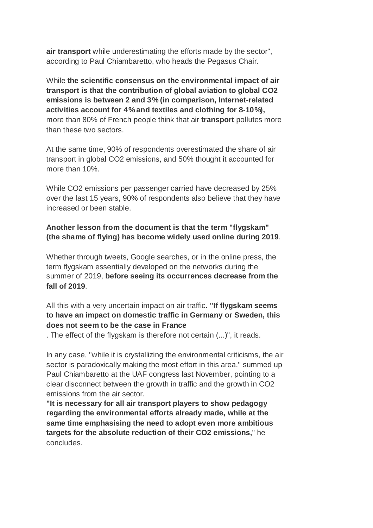**air transport** while underestimating the efforts made by the sector", according to Paul Chiambaretto, who heads the Pegasus Chair.

While **the scientific consensus on the environmental impact of air transport is that the contribution of global aviation to global CO2 emissions is between 2 and 3% (in comparison, Internet-related activities account for 4% and textiles and clothing for 8-10%),** more than 80% of French people think that air **transport** pollutes more than these two sectors.

At the same time, 90% of respondents overestimated the share of air transport in global CO2 emissions, and 50% thought it accounted for more than 10%.

While CO2 emissions per passenger carried have decreased by 25% over the last 15 years, 90% of respondents also believe that they have increased or been stable.

#### **Another lesson from the document is that the term "flygskam" (the shame of flying) has become widely used online during 2019**.

Whether through tweets, Google searches, or in the online press, the term flygskam essentially developed on the networks during the summer of 2019, **before seeing its occurrences decrease from the fall of 2019**.

#### All this with a very uncertain impact on air traffic. **"If flygskam seems to have an impact on domestic traffic in Germany or Sweden, this does not seem to be the case in France**

. The effect of the flygskam is therefore not certain (...)", it reads.

In any case, "while it is crystallizing the environmental criticisms, the air sector is paradoxically making the most effort in this area," summed up Paul Chiambaretto at the UAF congress last November, pointing to a clear disconnect between the growth in traffic and the growth in CO2 emissions from the air sector.

**"It is necessary for all air transport players to show pedagogy regarding the environmental efforts already made, while at the same time emphasising the need to adopt even more ambitious targets for the absolute reduction of their CO2 emissions,**" he concludes.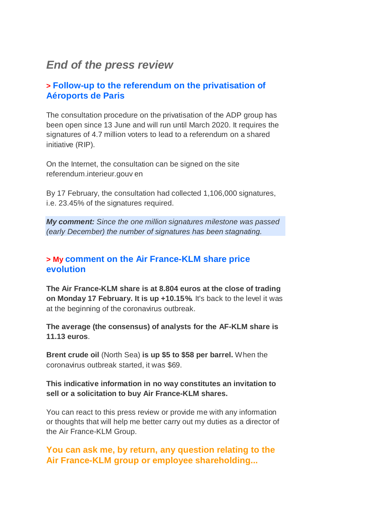## *End of the press review*

## **> Follow-up to the referendum on the privatisation of Aéroports de Paris**

The consultation procedure on the privatisation of the ADP group has been open since 13 June and will run until March 2020. It requires the signatures of 4.7 million voters to lead to a referendum on a shared initiative (RIP).

On the Internet, the consultation can be signed on the site referendum.interieur.gouv en

By 17 February, the consultation had collected 1,106,000 signatures, i.e. 23.45% of the signatures required.

*My comment: Since the one million signatures milestone was passed (early December) the number of signatures has been stagnating.*

### **> My comment on the Air France-KLM share price evolution**

**The Air France-KLM share is at 8.804 euros at the close of trading on Monday 17 February. It is up +10.15%.** It's back to the level it was at the beginning of the coronavirus outbreak.

**The average (the consensus) of analysts for the AF-KLM share is 11.13 euros**.

**Brent crude oil** (North Sea) **is up \$5 to \$58 per barrel.** When the coronavirus outbreak started, it was \$69.

**This indicative information in no way constitutes an invitation to sell or a solicitation to buy Air France-KLM shares.**

You can react to this press review or provide me with any information or thoughts that will help me better carry out my duties as a director of the Air France-KLM Group.

**You can ask me, by return, any question relating to the Air France-KLM group or employee shareholding...**